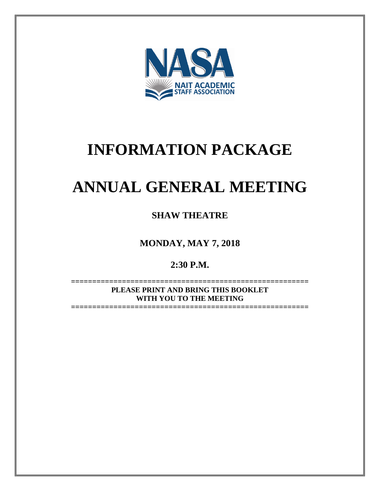

# **INFORMATION PACKAGE**

# **ANNUAL GENERAL MEETING**

**SHAW THEATRE**

**MONDAY, MAY 7, 2018**

**2:30 P.M.**

**======================================================== PLEASE PRINT AND BRING THIS BOOKLET WITH YOU TO THE MEETING**

**========================================================**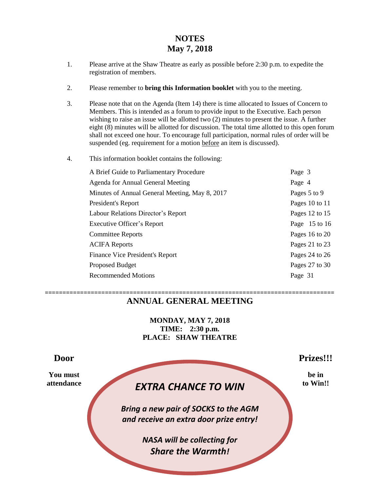# **NOTES May 7, 2018**

- 1. Please arrive at the Shaw Theatre as early as possible before 2:30 p.m. to expedite the registration of members.
- 2. Please remember to **bring this Information booklet** with you to the meeting.
- 3. Please note that on the Agenda (Item 14) there is time allocated to Issues of Concern to Members. This is intended as a forum to provide input to the Executive. Each person wishing to raise an issue will be allotted two (2) minutes to present the issue. A further eight (8) minutes will be allotted for discussion. The total time allotted to this open forum shall not exceed one hour. To encourage full participation, normal rules of order will be suspended (eg. requirement for a motion before an item is discussed).
- 4. This information booklet contains the following:

| Page 3          |
|-----------------|
| Page 4          |
| Pages 5 to 9    |
| Pages 10 to 11  |
| Pages 12 to 15  |
| Page $15$ to 16 |
| Pages 16 to 20  |
| Pages 21 to 23  |
| Pages 24 to 26  |
| Pages 27 to 30  |
| Page 31         |
|                 |

### **================================================================================== ANNUAL GENERAL MEETING**

**MONDAY, MAY 7, 2018 TIME: 2:30 p.m. PLACE: SHAW THEATRE**

attendance **EXTRA CHANCE TO WIN** to Win!! *Bring a new pair of SOCKS to the AGM and receive an extra door prize entry! NASA will be collecting for Share the Warmth!* **Door Prizes!!! You must** be in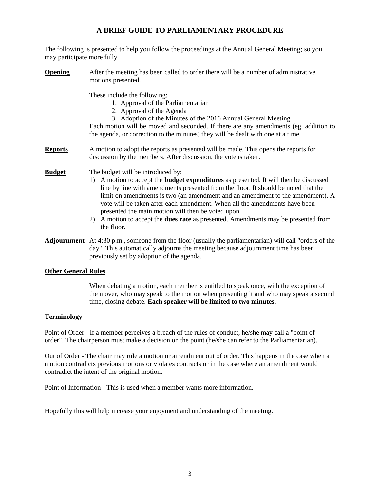# **A BRIEF GUIDE TO PARLIAMENTARY PROCEDURE**

The following is presented to help you follow the proceedings at the Annual General Meeting; so you may participate more fully.

# **Opening** After the meeting has been called to order there will be a number of administrative motions presented. These include the following: 1. Approval of the Parliamentarian 2. Approval of the Agenda 3. Adoption of the Minutes of the 2016 Annual General Meeting Each motion will be moved and seconded. If there are any amendments (eg. addition to the agenda, or correction to the minutes) they will be dealt with one at a time. **Reports** A motion to adopt the reports as presented will be made. This opens the reports for discussion by the members. After discussion, the vote is taken. **Budget** The budget will be introduced by: 1) A motion to accept the **budget expenditures** as presented. It will then be discussed line by line with amendments presented from the floor. It should be noted that the limit on amendments is two (an amendment and an amendment to the amendment). A vote will be taken after each amendment. When all the amendments have been

- presented the main motion will then be voted upon. 2) A motion to accept the **dues rate** as presented. Amendments may be presented from the floor.
- **Adjournment** At 4:30 p.m., someone from the floor (usually the parliamentarian) will call "orders of the day". This automatically adjourns the meeting because adjournment time has been previously set by adoption of the agenda.

### **Other General Rules**

When debating a motion, each member is entitled to speak once, with the exception of the mover, who may speak to the motion when presenting it and who may speak a second time, closing debate. **Each speaker will be limited to two minutes**.

### **Terminology**

Point of Order - If a member perceives a breach of the rules of conduct, he/she may call a "point of order". The chairperson must make a decision on the point (he/she can refer to the Parliamentarian).

Out of Order - The chair may rule a motion or amendment out of order. This happens in the case when a motion contradicts previous motions or violates contracts or in the case where an amendment would contradict the intent of the original motion.

Point of Information - This is used when a member wants more information.

Hopefully this will help increase your enjoyment and understanding of the meeting.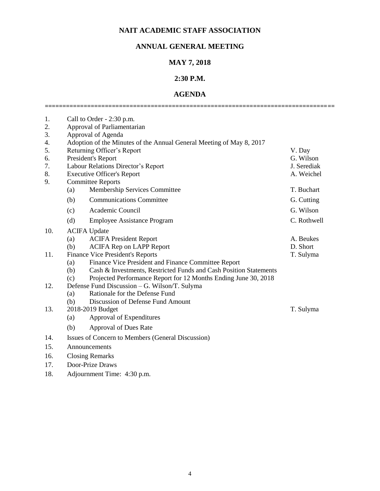# **NAIT ACADEMIC STAFF ASSOCIATION**

# **ANNUAL GENERAL MEETING**

# **MAY 7, 2018**

# **2:30 P.M.**

# **AGENDA ==================================================================================**

| 1.<br>2.<br>3.<br>4.<br>5.<br>6. |                        | Call to Order - 2:30 p.m.<br>Approval of Parliamentarian<br>Approval of Agenda<br>Adoption of the Minutes of the Annual General Meeting of May 8, 2017<br>Returning Officer's Report<br>President's Report | V. Day<br>G. Wilson |  |  |
|----------------------------------|------------------------|------------------------------------------------------------------------------------------------------------------------------------------------------------------------------------------------------------|---------------------|--|--|
| 7.                               |                        | Labour Relations Director's Report                                                                                                                                                                         | J. Serediak         |  |  |
| 8.                               |                        | <b>Executive Officer's Report</b>                                                                                                                                                                          | A. Weichel          |  |  |
| 9.                               |                        | <b>Committee Reports</b>                                                                                                                                                                                   |                     |  |  |
|                                  | (a)                    | Membership Services Committee                                                                                                                                                                              | T. Buchart          |  |  |
|                                  | (b)                    | <b>Communications Committee</b>                                                                                                                                                                            | G. Cutting          |  |  |
|                                  | (c)                    | Academic Council                                                                                                                                                                                           | G. Wilson           |  |  |
|                                  | (d)                    | <b>Employee Assistance Program</b>                                                                                                                                                                         | C. Rothwell         |  |  |
| 10.                              |                        | <b>ACIFA Update</b>                                                                                                                                                                                        |                     |  |  |
|                                  | (a)                    | <b>ACIFA President Report</b>                                                                                                                                                                              | A. Beukes           |  |  |
|                                  | (b)                    | <b>ACIFA Rep on LAPP Report</b>                                                                                                                                                                            | D. Short            |  |  |
| 11.                              |                        | <b>Finance Vice President's Reports</b>                                                                                                                                                                    | T. Sulyma           |  |  |
|                                  | (a)                    | Finance Vice President and Finance Committee Report                                                                                                                                                        |                     |  |  |
|                                  | (b)                    | Cash & Investments, Restricted Funds and Cash Position Statements                                                                                                                                          |                     |  |  |
|                                  | (c)                    | Projected Performance Report for 12 Months Ending June 30, 2018                                                                                                                                            |                     |  |  |
| 12.                              |                        | Defense Fund Discussion – G. Wilson/T. Sulyma<br>Rationale for the Defense Fund                                                                                                                            |                     |  |  |
|                                  | (a)<br>(b)             | Discussion of Defense Fund Amount                                                                                                                                                                          |                     |  |  |
| 13.                              |                        | 2018-2019 Budget                                                                                                                                                                                           | T. Sulyma           |  |  |
|                                  | (a)                    | Approval of Expenditures                                                                                                                                                                                   |                     |  |  |
|                                  | (b)                    | <b>Approval of Dues Rate</b>                                                                                                                                                                               |                     |  |  |
| 14.                              |                        | Issues of Concern to Members (General Discussion)                                                                                                                                                          |                     |  |  |
| 15.                              | Announcements          |                                                                                                                                                                                                            |                     |  |  |
| 16.                              | <b>Closing Remarks</b> |                                                                                                                                                                                                            |                     |  |  |
|                                  |                        |                                                                                                                                                                                                            |                     |  |  |

- 17. Door-Prize Draws
- 18. Adjournment Time: 4:30 p.m.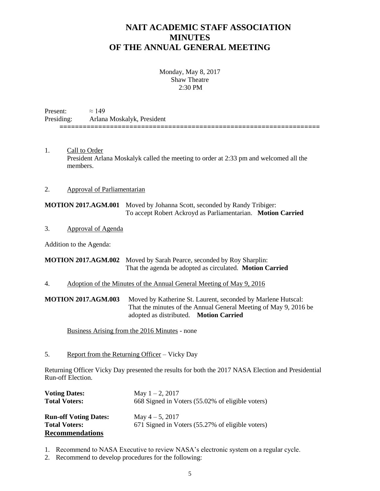# **NAIT ACADEMIC STAFF ASSOCIATION MINUTES OF THE ANNUAL GENERAL MEETING**

**===================================================================**

Monday, May 8, 2017 Shaw Theatre 2:30 PM

Present:  $\approx 149$ Presiding: Arlana Moskalyk, President

1. Call to Order President Arlana Moskalyk called the meeting to order at 2:33 pm and welcomed all the members.

### 2. Approval of Parliamentarian

**MOTION 2017.AGM.001** Moved by Johanna Scott, seconded by Randy Tribiger: To accept Robert Ackroyd as Parliamentarian. **Motion Carried**

3. Approval of Agenda

Addition to the Agenda:

**MOTION 2017.AGM.002** Moved by Sarah Pearce, seconded by Roy Sharplin: That the agenda be adopted as circulated. **Motion Carried**

4. Adoption of the Minutes of the Annual General Meeting of May 9, 2016

**MOTION 2017.AGM.003** Moved by Katherine St. Laurent, seconded by Marlene Hutscal: That the minutes of the Annual General Meeting of May 9, 2016 be adopted as distributed. **Motion Carried**

Business Arising from the 2016 Minutes - none

5. Report from the Returning Officer – Vicky Day

Returning Officer Vicky Day presented the results for both the 2017 NASA Election and Presidential Run-off Election.

| <b>Voting Dates:</b><br><b>Total Voters:</b> | May $1 - 2$ , 2017<br>668 Signed in Voters (55.02% of eligible voters) |
|----------------------------------------------|------------------------------------------------------------------------|
| <b>Run-off Voting Dates:</b>                 | May $4-5$ , 2017                                                       |
| <b>Total Voters:</b>                         | 671 Signed in Voters (55.27% of eligible voters)                       |
| <b>Recommendations</b>                       |                                                                        |

- 1. Recommend to NASA Executive to review NASA's electronic system on a regular cycle.
- 2. Recommend to develop procedures for the following: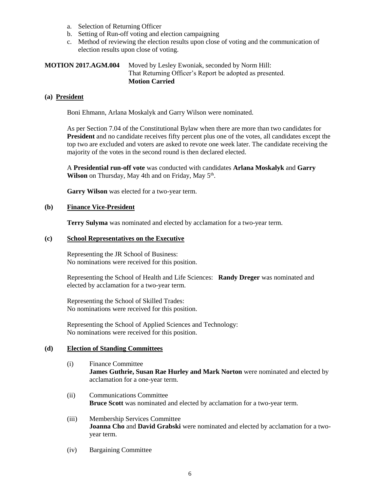- a. Selection of Returning Officer
- b. Setting of Run-off voting and election campaigning
- c. Method of reviewing the election results upon close of voting and the communication of election results upon close of voting.

### **MOTION 2017.AGM.004** Moved by Lesley Ewoniak, seconded by Norm Hill: That Returning Officer's Report be adopted as presented. **Motion Carried**

### **(a) President**

Boni Ehmann, Arlana Moskalyk and Garry Wilson were nominated.

As per Section 7.04 of the Constitutional Bylaw when there are more than two candidates for **President** and no candidate receives fifty percent plus one of the votes, all candidates except the top two are excluded and voters are asked to revote one week later. The candidate receiving the majority of the votes in the second round is then declared elected.

A **Presidential run-off vote** was conducted with candidates **Arlana Moskalyk** and **Garry**  Wilson on Thursday, May 4th and on Friday, May 5<sup>th</sup>.

**Garry Wilson** was elected for a two-year term.

### **(b) Finance Vice-President**

**Terry Sulyma** was nominated and elected by acclamation for a two-year term.

### **(c) School Representatives on the Executive**

Representing the JR School of Business: No nominations were received for this position.

Representing the School of Health and Life Sciences: **Randy Dreger** was nominated and elected by acclamation for a two-year term.

Representing the School of Skilled Trades: No nominations were received for this position.

Representing the School of Applied Sciences and Technology: No nominations were received for this position.

### **(d) Election of Standing Committees**

- (i) Finance Committee **James Guthrie, Susan Rae Hurley and Mark Norton** were nominated and elected by acclamation for a one-year term.
- (ii) Communications Committee **Bruce Scott** was nominated and elected by acclamation for a two-year term.
- (iii) Membership Services Committee **Joanna Cho** and **David Grabski** were nominated and elected by acclamation for a twoyear term.
- (iv) Bargaining Committee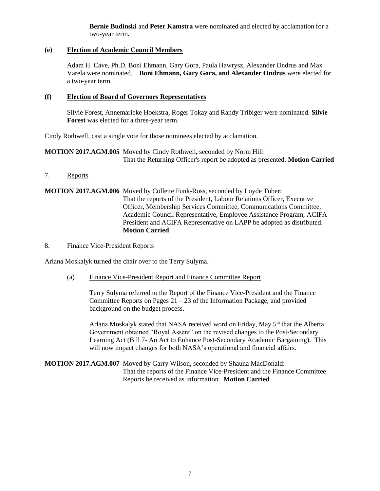**Bernie Budinski** and **Peter Kamstra** were nominated and elected by acclamation for a two-year term.

### **(e) Election of Academic Council Members**

Adam H. Cave, Ph.D, Boni Ehmann, Gary Gora, Paula Hawrysz, Alexander Ondrus and Max Varela were nominated. **Boni Ehmann, Gary Gora, and Alexander Ondrus** were elected for a two-year term.

### **(f) Election of Board of Governors Representatives**

Silvie Forest, Annemarieke Hoekstra, Roger Tokay and Randy Tribiger were nominated. **Silvie Forest** was elected for a three-year term.

Cindy Rothwell, cast a single vote for those nominees elected by acclamation.

**MOTION 2017.AGM.005** Moved by Cindy Rothwell, seconded by Norm Hill: That the Returning Officer's report be adopted as presented. **Motion Carried**

7. Reports

### **MOTION 2017.AGM.006** Moved by Collette Funk-Ross, seconded by Loyde Tober: That the reports of the President, Labour Relations Officer, Executive Officer, Membership Services Committee, Communications Committee, Academic Council Representative, Employee Assistance Program, ACIFA President and ACIFA Representative on LAPP be adopted as distributed. **Motion Carried**

### 8. Finance Vice-President Reports

Arlana Moskalyk turned the chair over to the Terry Sulyma.

(a) Finance Vice-President Report and Finance Committee Report

Terry Sulyma referred to the Report of the Finance Vice-President and the Finance Committee Reports on Pages  $21 - 23$  of the Information Package, and provided background on the budget process.

Arlana Moskalyk stated that NASA received word on Friday, May 5<sup>th</sup> that the Alberta Government obtained "Royal Assent" on the revised changes to the Post-Secondary Learning Act (Bill 7- An Act to Enhance Post-Secondary Academic Bargaining). This will now impact changes for both NASA's operational and financial affairs.

### **MOTION 2017.AGM.007** Moved by Garry Wilson, seconded by Shauna MacDonald: That the reports of the Finance Vice-President and the Finance Committee Reports be received as information. **Motion Carried**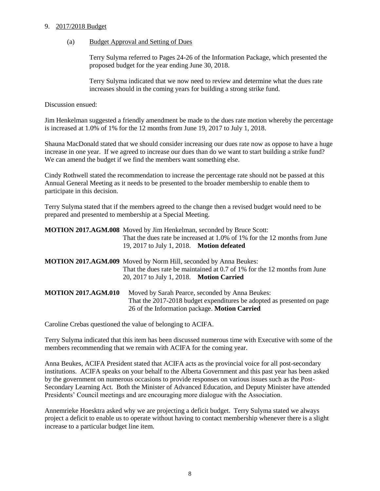### 9. 2017/2018 Budget

### (a) Budget Approval and Setting of Dues

Terry Sulyma referred to Pages 24-26 of the Information Package, which presented the proposed budget for the year ending June 30, 2018.

Terry Sulyma indicated that we now need to review and determine what the dues rate increases should in the coming years for building a strong strike fund.

Discussion ensued:

Jim Henkelman suggested a friendly amendment be made to the dues rate motion whereby the percentage is increased at 1.0% of 1% for the 12 months from June 19, 2017 to July 1, 2018.

Shauna MacDonald stated that we should consider increasing our dues rate now as oppose to have a huge increase in one year. If we agreed to increase our dues than do we want to start building a strike fund? We can amend the budget if we find the members want something else.

Cindy Rothwell stated the recommendation to increase the percentage rate should not be passed at this Annual General Meeting as it needs to be presented to the broader membership to enable them to participate in this decision.

Terry Sulyma stated that if the members agreed to the change then a revised budget would need to be prepared and presented to membership at a Special Meeting.

|                            | <b>MOTION 2017.AGM.008</b> Moved by Jim Henkelman, seconded by Bruce Scott:<br>That the dues rate be increased at 1.0% of 1% for the 12 months from June                   |
|----------------------------|----------------------------------------------------------------------------------------------------------------------------------------------------------------------------|
|                            | 19, 2017 to July 1, 2018. Motion defeated<br><b>MOTION 2017.AGM.009</b> Moved by Norm Hill, seconded by Anna Beukes:                                                       |
|                            | That the dues rate be maintained at 0.7 of 1% for the 12 months from June<br>20, 2017 to July 1, 2018. Motion Carried                                                      |
| <b>MOTION 2017.AGM.010</b> | Moved by Sarah Pearce, seconded by Anna Beukes:<br>That the 2017-2018 budget expenditures be adopted as presented on page<br>26 of the Information package. Motion Carried |

Caroline Crebas questioned the value of belonging to ACIFA.

Terry Sulyma indicated that this item has been discussed numerous time with Executive with some of the members recommending that we remain with ACIFA for the coming year.

Anna Beukes, ACIFA President stated that ACIFA acts as the provincial voice for all post-secondary institutions. ACIFA speaks on your behalf to the Alberta Government and this past year has been asked by the government on numerous occasions to provide responses on various issues such as the Post-Secondary Learning Act. Both the Minister of Advanced Education, and Deputy Minister have attended Presidents' Council meetings and are encouraging more dialogue with the Association.

Annemrieke Hoesktra asked why we are projecting a deficit budget. Terry Sulyma stated we always project a deficit to enable us to operate without having to contact membership whenever there is a slight increase to a particular budget line item.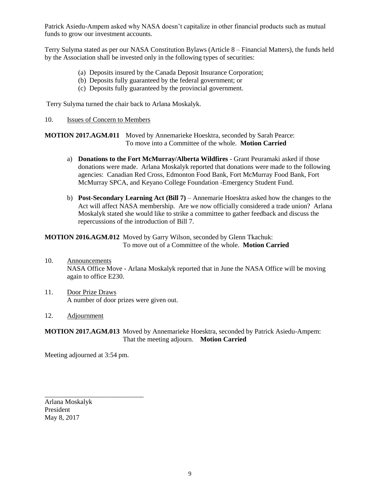Patrick Asiedu-Ampem asked why NASA doesn't capitalize in other financial products such as mutual funds to grow our investment accounts.

Terry Sulyma stated as per our NASA Constitution Bylaws (Article 8 – Financial Matters), the funds held by the Association shall be invested only in the following types of securities:

- (a) Deposits insured by the Canada Deposit Insurance Corporation;
- (b) Deposits fully guaranteed by the federal government; or
- (c) Deposits fully guaranteed by the provincial government.

Terry Sulyma turned the chair back to Arlana Moskalyk.

10. Issues of Concern to Members

**MOTION 2017.AGM.011** Moved by Annemarieke Hoesktra, seconded by Sarah Pearce: To move into a Committee of the whole. **Motion Carried**

- a) **Donations to the Fort McMurray/Alberta Wildfires**  Grant Peuramaki asked if those donations were made. Arlana Moskalyk reported that donations were made to the following agencies: Canadian Red Cross, Edmonton Food Bank, Fort McMurray Food Bank, Fort McMurray SPCA, and Keyano College Foundation -Emergency Student Fund.
- b) **Post-Secondary Learning Act (Bill 7)** Annemarie Hoesktra asked how the changes to the Act will affect NASA membership. Are we now officially considered a trade union? Arlana Moskalyk stated she would like to strike a committee to gather feedback and discuss the repercussions of the introduction of Bill 7.

### **MOTION 2016.AGM.012** Moved by Garry Wilson, seconded by Glenn Tkachuk: To move out of a Committee of the whole. **Motion Carried**

- 10. Announcements NASA Office Move - Arlana Moskalyk reported that in June the NASA Office will be moving again to office E230.
- 11. Door Prize Draws A number of door prizes were given out.

### 12. Adjournment

### **MOTION 2017.AGM.013** Moved by Annemarieke Hoesktra, seconded by Patrick Asiedu-Ampem: That the meeting adjourn. **Motion Carried**

Meeting adjourned at 3:54 pm.

\_\_\_\_\_\_\_\_\_\_\_\_\_\_\_\_\_\_\_\_\_\_\_\_\_\_\_\_\_

Arlana Moskalyk President May 8, 2017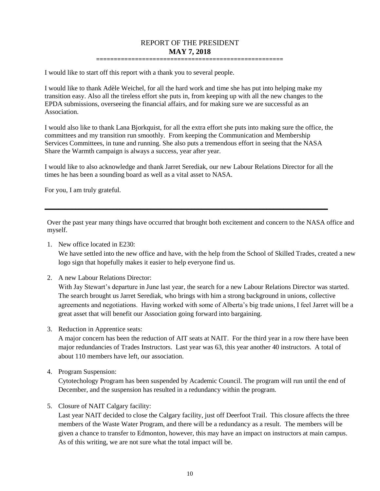### REPORT OF THE PRESIDENT **MAY 7, 2018 =====================================================**

I would like to start off this report with a thank you to several people.

I would like to thank Adèle Weichel, for all the hard work and time she has put into helping make my transition easy. Also all the tireless effort she puts in, from keeping up with all the new changes to the EPDA submissions, overseeing the financial affairs, and for making sure we are successful as an Association.

I would also like to thank Lana Bjorkquist, for all the extra effort she puts into making sure the office, the committees and my transition run smoothly. From keeping the Communication and Membership Services Committees, in tune and running. She also puts a tremendous effort in seeing that the NASA Share the Warmth campaign is always a success, year after year.

I would like to also acknowledge and thank Jarret Serediak, our new Labour Relations Director for all the times he has been a sounding board as well as a vital asset to NASA.

**\_\_\_\_\_\_\_\_\_\_\_\_\_\_\_\_\_\_\_\_\_\_\_\_\_\_\_\_\_\_\_\_\_\_\_\_\_\_\_\_\_\_\_\_\_\_\_\_\_\_\_\_\_\_\_\_\_\_\_\_\_\_\_\_\_\_\_\_\_\_\_\_\_\_\_\_\_\_\_\_\_\_\_**

For you, I am truly grateful.

Over the past year many things have occurred that brought both excitement and concern to the NASA office and myself.

1. New office located in E230:

We have settled into the new office and have, with the help from the School of Skilled Trades, created a new logo sign that hopefully makes it easier to help everyone find us.

2. A new Labour Relations Director:

With Jay Stewart's departure in June last year, the search for a new Labour Relations Director was started. The search brought us Jarret Serediak, who brings with him a strong background in unions, collective agreements and negotiations. Having worked with some of Alberta's big trade unions, I feel Jarret will be a great asset that will benefit our Association going forward into bargaining.

3. Reduction in Apprentice seats:

A major concern has been the reduction of AIT seats at NAIT. For the third year in a row there have been major redundancies of Trades Instructors. Last year was 63, this year another 40 instructors. A total of about 110 members have left, our association.

4. Program Suspension:

Cytotechology Program has been suspended by Academic Council. The program will run until the end of December, and the suspension has resulted in a redundancy within the program.

5. Closure of NAIT Calgary facility:

Last year NAIT decided to close the Calgary facility, just off Deerfoot Trail. This closure affects the three members of the Waste Water Program, and there will be a redundancy as a result. The members will be given a chance to transfer to Edmonton, however, this may have an impact on instructors at main campus. As of this writing, we are not sure what the total impact will be.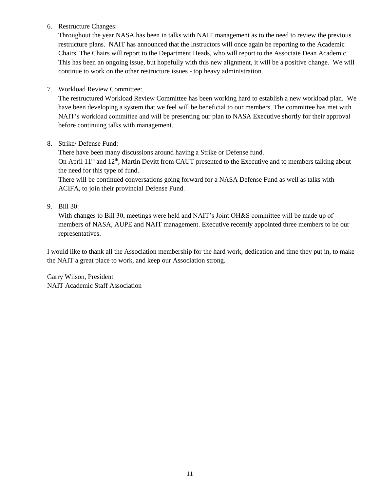6. Restructure Changes:

Throughout the year NASA has been in talks with NAIT management as to the need to review the previous restructure plans. NAIT has announced that the Instructors will once again be reporting to the Academic Chairs. The Chairs will report to the Department Heads, who will report to the Associate Dean Academic. This has been an ongoing issue, but hopefully with this new alignment, it will be a positive change. We will continue to work on the other restructure issues - top heavy administration.

7. Workload Review Committee:

The restructured Workload Review Committee has been working hard to establish a new workload plan. We have been developing a system that we feel will be beneficial to our members. The committee has met with NAIT's workload committee and will be presenting our plan to NASA Executive shortly for their approval before continuing talks with management.

8. Strike/ Defense Fund:

There have been many discussions around having a Strike or Defense fund. On April 11<sup>th</sup> and 12<sup>th</sup>, Martin Devitt from CAUT presented to the Executive and to members talking about the need for this type of fund.

There will be continued conversations going forward for a NASA Defense Fund as well as talks with ACIFA, to join their provincial Defense Fund.

9. Bill 30:

With changes to Bill 30, meetings were held and NAIT's Joint OH&S committee will be made up of members of NASA, AUPE and NAIT management. Executive recently appointed three members to be our representatives.

I would like to thank all the Association membership for the hard work, dedication and time they put in, to make the NAIT a great place to work, and keep our Association strong.

Garry Wilson, President NAIT Academic Staff Association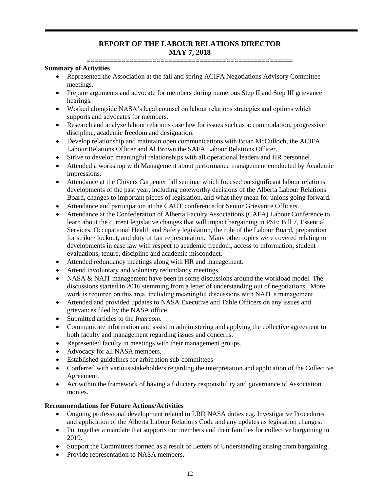# **REPORT OF THE LABOUR RELATIONS DIRECTOR MAY 7, 2018**

**=====================================================**

### **Summary of Activities**

- Represented the Association at the fall and spring ACIFA Negotiations Advisory Committee meetings.
- Prepare arguments and advocate for members during numerous Step II and Step III grievance hearings.
- Worked alongside NASA's legal counsel on labour relations strategies and options which supports and advocates for members.
- Research and analyze labour relations case law for issues such as accommodation, progressive discipline, academic freedom and designation.
- Develop relationship and maintain open communications with Brian McCulloch, the ACIFA Labour Relations Officer and Al Brown the SAFA Labour Relations Officer.
- Strive to develop meaningful relationships with all operational leaders and HR personnel.
- Attended a workshop with Management about performance management conducted by Academic impressions.
- Attendance at the Chivers Carpenter fall seminar which focused on significant labour relations developments of the past year, including noteworthy decisions of the Alberta Labour Relations Board, changes to important pieces of legislation, and what they mean for unions going forward.
- Attendance and participation at the CAUT conference for Senior Grievance Officers.
- Attendance at the Confederation of Alberta Faculty Associations (CAFA) Labour Conference to learn about the current legislative changes that will impact bargaining in PSE: Bill 7, Essential Services, Occupational Health and Safety legislation, the role of the Labour Board, preparation for strike / lockout, and duty of fair representation. Many other topics were covered relating to developments in case law with respect to academic freedom, access to information, student evaluations, tenure, discipline and academic misconduct.
- Attended redundancy meetings along with HR and management.
- Attend involuntary and voluntary redundancy meetings.
- NASA & NAIT management have been in some discussions around the workload model. The discussions started in 2016 stemming from a letter of understanding out of negotiations. More work is required on this area, including meaningful discussions with NAIT's management.
- Attended and provided updates to NASA Executive and Table Officers on any issues and grievances filed by the NASA office.
- Submitted articles to the *Intercom.*
- Communicate information and assist in administering and applying the collective agreement to both faculty and management regarding issues and concerns.
- Represented faculty in meetings with their management groups.
- Advocacy for all NASA members.
- Established guidelines for arbitration sub-committees.
- Conferred with various stakeholders regarding the interpretation and application of the Collective Agreement.
- Act within the framework of having a fiduciary responsibility and governance of Association monies.

### **Recommendations for Future Actions/Activities**

- Ongoing professional development related to LRD NASA duties e.g. Investigative Procedures and application of the Alberta Labour Relations Code and any updates as legislation changes.
- Put together a mandate that supports our members and their families for collective bargaining in 2019.
- Support the Committees formed as a result of Letters of Understanding arising from bargaining.
- Provide representation to NASA members.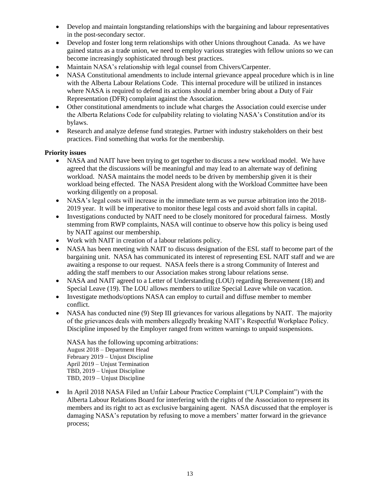- Develop and maintain longstanding relationships with the bargaining and labour representatives in the post-secondary sector.
- Develop and foster long term relationships with other Unions throughout Canada. As we have gained status as a trade union, we need to employ various strategies with fellow unions so we can become increasingly sophisticated through best practices.
- Maintain NASA's relationship with legal counsel from Chivers/Carpenter.
- NASA Constitutional amendments to include internal grievance appeal procedure which is in line with the Alberta Labour Relations Code. This internal procedure will be utilized in instances where NASA is required to defend its actions should a member bring about a Duty of Fair Representation (DFR) complaint against the Association.
- Other constitutional amendments to include what charges the Association could exercise under the Alberta Relations Code for culpability relating to violating NASA's Constitution and/or its bylaws.
- Research and analyze defense fund strategies. Partner with industry stakeholders on their best practices. Find something that works for the membership.

### **Priority issues**

- NASA and NAIT have been trying to get together to discuss a new workload model. We have agreed that the discussions will be meaningful and may lead to an alternate way of defining workload. NASA maintains the model needs to be driven by membership given it is their workload being effected. The NASA President along with the Workload Committee have been working diligently on a proposal.
- NASA's legal costs will increase in the immediate term as we pursue arbitration into the 2018- 2019 year. It will be imperative to monitor these legal costs and avoid short falls in capital.
- Investigations conducted by NAIT need to be closely monitored for procedural fairness. Mostly stemming from RWP complaints, NASA will continue to observe how this policy is being used by NAIT against our membership.
- Work with NAIT in creation of a labour relations policy.
- NASA has been meeting with NAIT to discuss designation of the ESL staff to become part of the bargaining unit. NASA has communicated its interest of representing ESL NAIT staff and we are awaiting a response to our request. NASA feels there is a strong Community of Interest and adding the staff members to our Association makes strong labour relations sense.
- NASA and NAIT agreed to a Letter of Understanding (LOU) regarding Bereavement (18) and Special Leave (19). The LOU allows members to utilize Special Leave while on vacation.
- Investigate methods/options NASA can employ to curtail and diffuse member to member conflict.
- NASA has conducted nine (9) Step III grievances for various allegations by NAIT. The majority of the grievances deals with members allegedly breaking NAIT's Respectful Workplace Policy. Discipline imposed by the Employer ranged from written warnings to unpaid suspensions.

NASA has the following upcoming arbitrations: August 2018 – Department Head February 2019 – Unjust Discipline April 2019 – Unjust Termination TBD, 2019 – Unjust Discipline TBD, 2019 – Unjust Discipline

• In April 2018 NASA Filed an Unfair Labour Practice Complaint ("ULP Complaint") with the Alberta Labour Relations Board for interfering with the rights of the Association to represent its members and its right to act as exclusive bargaining agent. NASA discussed that the employer is damaging NASA's reputation by refusing to move a members' matter forward in the grievance process;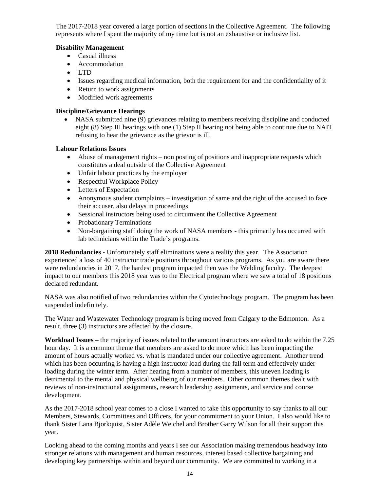The 2017-2018 year covered a large portion of sections in the Collective Agreement. The following represents where I spent the majority of my time but is not an exhaustive or inclusive list.

### **Disability Management**

- Casual illness
- Accommodation
- LTD
- Issues regarding medical information, both the requirement for and the confidentiality of it
- Return to work assignments
- Modified work agreements

### **Discipline/Grievance Hearings**

 NASA submitted nine (9) grievances relating to members receiving discipline and conducted eight (8) Step III hearings with one (1) Step II hearing not being able to continue due to NAIT refusing to hear the grievance as the grievor is ill.

### **Labour Relations Issues**

- Abuse of management rights non posting of positions and inappropriate requests which constitutes a deal outside of the Collective Agreement
- Unfair labour practices by the employer
- Respectful Workplace Policy
- Letters of Expectation
- Anonymous student complaints investigation of same and the right of the accused to face their accuser, also delays in proceedings
- Sessional instructors being used to circumvent the Collective Agreement
- Probationary Terminations
- Non-bargaining staff doing the work of NASA members this primarily has occurred with lab technicians within the Trade's programs.

**2018 Redundancies -** Unfortunately staff eliminations were a reality this year. The Association experienced a loss of 40 instructor trade positions throughout various programs. As you are aware there were redundancies in 2017, the hardest program impacted then was the Welding faculty. The deepest impact to our members this 2018 year was to the Electrical program where we saw a total of 18 positions declared redundant.

NASA was also notified of two redundancies within the Cytotechnology program. The program has been suspended indefinitely.

The Water and Wastewater Technology program is being moved from Calgary to the Edmonton. As a result, three (3) instructors are affected by the closure.

**Workload Issues –** the majority of issues related to the amount instructors are asked to do within the 7.25 hour day. It is a common theme that members are asked to do more which has been impacting the amount of hours actually worked vs. what is mandated under our collective agreement. Another trend which has been occurring is having a high instructor load during the fall term and effectively under loading during the winter term. After hearing from a number of members, this uneven loading is detrimental to the mental and physical wellbeing of our members. Other common themes dealt with reviews of non-instructional assignments**,** research leadership assignments, and service and course development.

As the 2017-2018 school year comes to a close I wanted to take this opportunity to say thanks to all our Members, Stewards, Committees and Officers, for your commitment to your Union. I also would like to thank Sister Lana Bjorkquist, Sister Adèle Weichel and Brother Garry Wilson for all their support this year.

Looking ahead to the coming months and years I see our Association making tremendous headway into stronger relations with management and human resources, interest based collective bargaining and developing key partnerships within and beyond our community. We are committed to working in a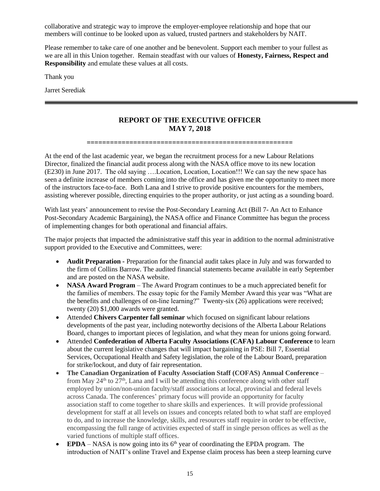collaborative and strategic way to improve the employer-employee relationship and hope that our members will continue to be looked upon as valued, trusted partners and stakeholders by NAIT.

Please remember to take care of one another and be benevolent. Support each member to your fullest as we are all in this Union together. Remain steadfast with our values of **Honesty, Fairness, Respect and Responsibility** and emulate these values at all costs.

Thank you

Jarret Serediak

## **REPORT OF THE EXECUTIVE OFFICER MAY 7, 2018**

**=====================================================**

At the end of the last academic year, we began the recruitment process for a new Labour Relations Director, finalized the financial audit process along with the NASA office move to its new location (E230) in June 2017. The old saying ….Location, Location, Location!!! We can say the new space has seen a definite increase of members coming into the office and has given me the opportunity to meet more of the instructors face-to-face. Both Lana and I strive to provide positive encounters for the members, assisting wherever possible, directing enquiries to the proper authority, or just acting as a sounding board.

With last years' announcement to revise the Post-Secondary Learning Act (Bill 7- An Act to Enhance Post-Secondary Academic Bargaining), the NASA office and Finance Committee has begun the process of implementing changes for both operational and financial affairs.

The major projects that impacted the administrative staff this year in addition to the normal administrative support provided to the Executive and Committees, were:

- **Audit Preparation -** Preparation for the financial audit takes place in July and was forwarded to the firm of Collins Barrow. The audited financial statements became available in early September and are posted on the NASA website.
- **NASA Award Program** The Award Program continues to be a much appreciated benefit for the families of members. The essay topic for the Family Member Award this year was "What are the benefits and challenges of on-line learning?" Twenty-six (26) applications were received; twenty (20) \$1,000 awards were granted.
- Attended **Chivers Carpenter fall seminar** which focused on significant labour relations developments of the past year, including noteworthy decisions of the Alberta Labour Relations Board, changes to important pieces of legislation, and what they mean for unions going forward.
- Attended **Confederation of Alberta Faculty Associations (CAFA) Labour Conference** to learn about the current legislative changes that will impact bargaining in PSE: Bill 7, Essential Services, Occupational Health and Safety legislation, the role of the Labour Board, preparation for strike/lockout, and duty of fair representation.
- **The Canadian Organization of Faculty Association Staff (COFAS) Annual Conference** from May  $24<sup>th</sup>$  to  $27<sup>th</sup>$ , Lana and I will be attending this conference along with other staff employed by union/non-union faculty/staff associations at local, provincial and federal levels across Canada. The conferences' primary focus will provide an opportunity for faculty association staff to come together to share skills and experiences. It will provide professional development for staff at all levels on issues and concepts related both to what staff are employed to do, and to increase the knowledge, skills, and resources staff require in order to be effective, encompassing the full range of activities expected of staff in single person offices as well as the varied functions of multiple staff offices.
- **EPDA** NASA is now going into its 6<sup>th</sup> year of coordinating the EPDA program. The introduction of NAIT's online Travel and Expense claim process has been a steep learning curve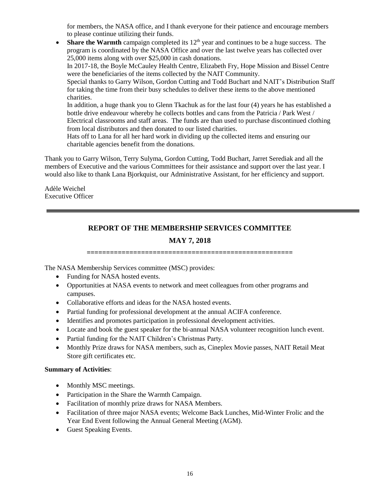for members, the NASA office, and I thank everyone for their patience and encourage members to please continue utilizing their funds.

• **Share the Warmth** campaign completed its  $12<sup>th</sup>$  year and continues to be a huge success. The program is coordinated by the NASA Office and over the last twelve years has collected over 25,000 items along with over \$25,000 in cash donations.

In 2017-18, the Boyle McCauley Health Centre, Elizabeth Fry, Hope Mission and Bissel Centre were the beneficiaries of the items collected by the NAIT Community.

Special thanks to Garry Wilson, Gordon Cutting and Todd Buchart and NAIT's Distribution Staff for taking the time from their busy schedules to deliver these items to the above mentioned charities.

In addition, a huge thank you to Glenn Tkachuk as for the last four (4) years he has established a bottle drive endeavour whereby he collects bottles and cans from the Patricia / Park West / Electrical classrooms and staff areas. The funds are than used to purchase discontinued clothing from local distributors and then donated to our listed charities.

Hats off to Lana for all her hard work in dividing up the collected items and ensuring our charitable agencies benefit from the donations.

Thank you to Garry Wilson, Terry Sulyma, Gordon Cutting, Todd Buchart, Jarret Serediak and all the members of Executive and the various Committees for their assistance and support over the last year. I would also like to thank Lana Bjorkquist, our Administrative Assistant, for her efficiency and support.

Adèle Weichel Executive Officer

# **REPORT OF THE MEMBERSHIP SERVICES COMMITTEE**

# **MAY 7, 2018**

**=====================================================**

The NASA Membership Services committee (MSC) provides:

- Funding for NASA hosted events.
- Opportunities at NASA events to network and meet colleagues from other programs and campuses.
- Collaborative efforts and ideas for the NASA hosted events.
- Partial funding for professional development at the annual ACIFA conference.
- Identifies and promotes participation in professional development activities.
- Locate and book the guest speaker for the bi-annual NASA volunteer recognition lunch event.
- Partial funding for the NAIT Children's Christmas Party.
- Monthly Prize draws for NASA members, such as, Cineplex Movie passes, NAIT Retail Meat Store gift certificates etc.

### **Summary of Activities**:

- Monthly MSC meetings.
- Participation in the Share the Warmth Campaign.
- Facilitation of monthly prize draws for NASA Members.
- Facilitation of three major NASA events; Welcome Back Lunches, Mid-Winter Frolic and the Year End Event following the Annual General Meeting (AGM).
- Guest Speaking Events.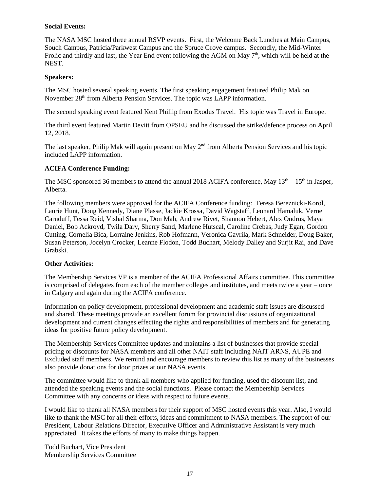### **Social Events:**

The NASA MSC hosted three annual RSVP events. First, the Welcome Back Lunches at Main Campus, Souch Campus, Patricia/Parkwest Campus and the Spruce Grove campus. Secondly, the Mid-Winter Frolic and thirdly and last, the Year End event following the AGM on May 7<sup>th</sup>, which will be held at the NEST.

### **Speakers:**

The MSC hosted several speaking events. The first speaking engagement featured Philip Mak on November 28<sup>th</sup> from Alberta Pension Services. The topic was LAPP information.

The second speaking event featured Kent Phillip from Exodus Travel. His topic was Travel in Europe.

The third event featured Martin Devitt from OPSEU and he discussed the strike/defence process on April 12, 2018.

The last speaker, Philip Mak will again present on May 2<sup>nd</sup> from Alberta Pension Services and his topic included LAPP information.

### **ACIFA Conference Funding:**

The MSC sponsored 36 members to attend the annual 2018 ACIFA conference, May 13<sup>th</sup> – 15<sup>th</sup> in Jasper, Alberta.

The following members were approved for the ACIFA Conference funding: Teresa Bereznicki-Korol, Laurie Hunt, Doug Kennedy, Diane Plasse, Jackie Krossa, David Wagstaff, Leonard Hamaluk, Verne Carnduff, Tessa Reid, Vishal Sharma, Don Mah, Andrew Rivet, Shannon Hebert, Alex Ondrus, Maya Daniel, Bob Ackroyd, Twila Dary, Sherry Sand, Marlene Hutscal, Caroline Crebas, Judy Egan, Gordon Cutting, Cornelia Bica, Lorraine Jenkins, Rob Hofmann, Veronica Gavrila, Mark Schneider, Doug Baker, Susan Peterson, Jocelyn Crocker, Leanne Flodon, Todd Buchart, Melody Dalley and Surjit Rai, and Dave Grabski.

### **Other Activities:**

The Membership Services VP is a member of the ACIFA Professional Affairs committee. This committee is comprised of delegates from each of the member colleges and institutes, and meets twice a year – once in Calgary and again during the ACIFA conference.

Information on policy development, professional development and academic staff issues are discussed and shared. These meetings provide an excellent forum for provincial discussions of organizational development and current changes effecting the rights and responsibilities of members and for generating ideas for positive future policy development.

The Membership Services Committee updates and maintains a list of businesses that provide special pricing or discounts for NASA members and all other NAIT staff including NAIT ARNS, AUPE and Excluded staff members. We remind and encourage members to review this list as many of the businesses also provide donations for door prizes at our NASA events.

The committee would like to thank all members who applied for funding, used the discount list, and attended the speaking events and the social functions. Please contact the Membership Services Committee with any concerns or ideas with respect to future events.

I would like to thank all NASA members for their support of MSC hosted events this year. Also, I would like to thank the MSC for all their efforts, ideas and commitment to NASA members. The support of our President, Labour Relations Director, Executive Officer and Administrative Assistant is very much appreciated. It takes the efforts of many to make things happen.

Todd Buchart, Vice President Membership Services Committee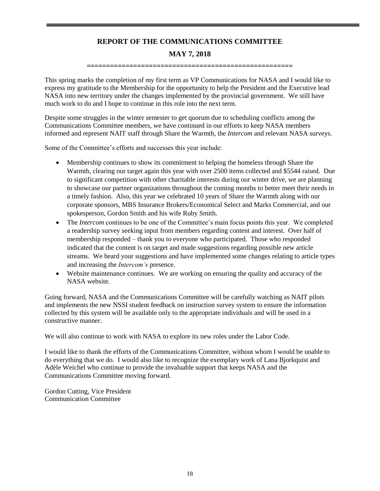# **REPORT OF THE COMMUNICATIONS COMMITTEE MAY 7, 2018**

**=====================================================**

This spring marks the completion of my first term as VP Communications for NASA and I would like to express my gratitude to the Membership for the opportunity to help the President and the Executive lead NASA into new territory under the changes implemented by the provincial government. We still have much work to do and I hope to continue in this role into the next term.

Despite some struggles in the winter semester to get quorum due to scheduling conflicts among the Communications Committee members, we have continued in our efforts to keep NASA members informed and represent NAIT staff through Share the Warmth, the *Intercom* and relevant NASA surveys.

Some of the Committee's efforts and successes this year include:

- Membership continues to show its commitment to helping the homeless through Share the Warmth, clearing our target again this year with over 2500 items collected and \$5544 raised. Due to significant competition with other charitable interests during our winter drive, we are planning to showcase our partner organizations throughout the coming months to better meet their needs in a timely fashion. Also, this year we celebrated 10 years of Share the Warmth along with our corporate sponsors, MBS Insurance Brokers/Economical Select and Marks Commercial, and our spokesperson, Gordon Smith and his wife Ruby Smith.
- The *Intercom* continues to be one of the Committee's main focus points this year. We completed a readership survey seeking input from members regarding content and interest. Over half of membership responded – thank you to everyone who participated. Those who responded indicated that the content is on target and made suggestions regarding possible new article streams. We heard your suggestions and have implemented some changes relating to article types and increasing the *Intercom's* presence.
- Website maintenance continues. We are working on ensuring the quality and accuracy of the NASA website.

Going forward, NASA and the Communications Committee will be carefully watching as NAIT pilots and implements the new NSSI student feedback on instruction survey system to ensure the information collected by this system will be available only to the appropriate individuals and will be used in a constructive manner.

We will also continue to work with NASA to explore its new roles under the Labor Code.

I would like to thank the efforts of the Communications Committee, without whom I would be unable to do everything that we do. I would also like to recognize the exemplary work of Lana Bjorkquist and Adèle Weichel who continue to provide the invaluable support that keeps NASA and the Communications Committee moving forward.

Gordon Cutting, Vice President Communication Committee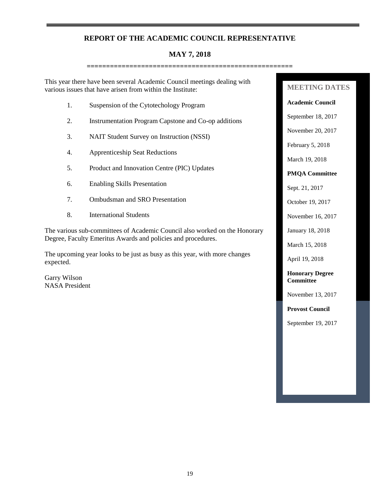### **REPORT OF THE ACADEMIC COUNCIL REPRESENTATIVE**

# **MAY 7, 2018**

**=====================================================**

This year there have been several Academic Council meetings dealing with various issues that have arisen from within the Institute:

- 1. Suspension of the Cytotechology Program
- 2. Instrumentation Program Capstone and Co-op additions
- 3. NAIT Student Survey on Instruction (NSSI)
- 4. Apprenticeship Seat Reductions
- 5. Product and Innovation Centre (PIC) Updates
- 6. Enabling Skills Presentation
- 7. Ombudsman and SRO Presentation
- 8. International Students

The various sub-committees of Academic Council also worked on the Honorary Degree, Faculty Emeritus Awards and policies and procedures.

The upcoming year looks to be just as busy as this year, with more changes expected.

Garry Wilson NASA President

## **MEETING DATES**

**Academic Council**

September 18, 2017

November 20, 2017

February 5, 2018

March 19, 2018

### **PMQA Committee**

Sept. 21, 2017

October 19, 2017

November 16, 2017

January 18, 2018

March 15, 2018

April 19, 2018

**Honorary Degree Committee**

November 13, 2017

**Provost Council**

September 19, 2017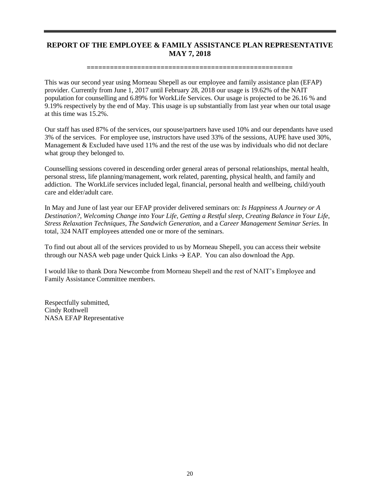# **REPORT OF THE EMPLOYEE & FAMILY ASSISTANCE PLAN REPRESENTATIVE MAY 7, 2018**

### **=====================================================**

This was our second year using Morneau Shepell as our employee and family assistance plan (EFAP) provider. Currently from June 1, 2017 until February 28, 2018 our usage is 19.62% of the NAIT population for counselling and 6.89% for WorkLife Services. Our usage is projected to be 26.16 % and 9.19% respectively by the end of May. This usage is up substantially from last year when our total usage at this time was 15.2%.

Our staff has used 87% of the services, our spouse/partners have used 10% and our dependants have used 3% of the services. For employee use, instructors have used 33% of the sessions, AUPE have used 30%, Management & Excluded have used 11% and the rest of the use was by individuals who did not declare what group they belonged to.

Counselling sessions covered in descending order general areas of personal relationships, mental health, personal stress, life planning/management, work related, parenting, physical health, and family and addiction. The WorkLife services included legal, financial, personal health and wellbeing, child/youth care and elder/adult care.

In May and June of last year our EFAP provider delivered seminars on: *Is Happiness A Journey or A Destination?, Welcoming Change into Your Life, Getting a Restful sleep, Creating Balance in Your Life, Stress Relaxation Techniques, The Sandwich Generation,* and a *Career Management Seminar Series.* In total, 324 NAIT employees attended one or more of the seminars.

To find out about all of the services provided to us by Morneau Shepell, you can access their website through our NASA web page under Quick Links  $\rightarrow$  EAP. You can also download the App.

I would like to thank Dora Newcombe from Morneau Shepell and the rest of NAIT's Employee and Family Assistance Committee members.

Respectfully submitted, Cindy Rothwell NASA EFAP Representative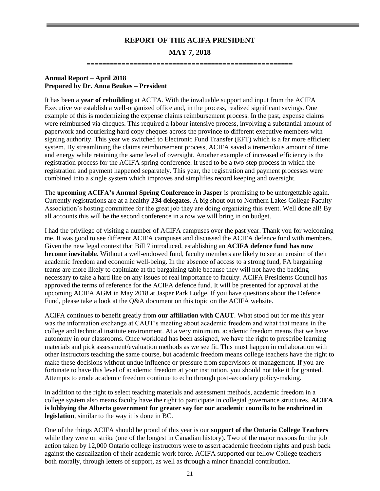# **REPORT OF THE ACIFA PRESIDENT MAY 7, 2018**

**=====================================================**

### **Annual Report – April 2018 Prepared by Dr. Anna Beukes – President**

It has been a **year of rebuilding** at ACIFA. With the invaluable support and input from the ACIFA Executive we establish a well-organized office and, in the process, realized significant savings. One example of this is modernizing the expense claims reimbursement process. In the past, expense claims were reimbursed via cheques. This required a labour intensive process, involving a substantial amount of paperwork and couriering hard copy cheques across the province to different executive members with signing authority. This year we switched to Electronic Fund Transfer (EFT) which is a far more efficient system. By streamlining the claims reimbursement process, ACIFA saved a tremendous amount of time and energy while retaining the same level of oversight. Another example of increased efficiency is the registration process for the ACIFA spring conference. It used to be a two-step process in which the registration and payment happened separately. This year, the registration and payment processes were combined into a single system which improves and simplifies record keeping and oversight.

The **upcoming ACIFA's Annual Spring Conference in Jasper** is promising to be unforgettable again. Currently registrations are at a healthy **234 delegates**. A big shout out to Northern Lakes College Faculty Association's hosting committee for the great job they are doing organizing this event. Well done all! By all accounts this will be the second conference in a row we will bring in on budget.

I had the privilege of visiting a number of ACIFA campuses over the past year. Thank you for welcoming me. It was good to see different ACIFA campuses and discussed the ACIFA defence fund with members. Given the new legal context that Bill 7 introduced, establishing an **ACIFA defence fund has now become inevitable**. Without a well-endowed fund, faculty members are likely to see an erosion of their academic freedom and economic well-being. In the absence of access to a strong fund, FA bargaining teams are more likely to capitulate at the bargaining table because they will not have the backing necessary to take a hard line on any issues of real importance to faculty. ACIFA Presidents Council has approved the terms of reference for the ACIFA defence fund. It will be presented for approval at the upcoming ACIFA AGM in May 2018 at Jasper Park Lodge. If you have questions about the Defence Fund, please take a look at the Q&A document on this topic on the ACIFA website.

ACIFA continues to benefit greatly from **our affiliation with CAUT**. What stood out for me this year was the information exchange at CAUT's meeting about academic freedom and what that means in the college and technical institute environment. At a very minimum, academic freedom means that we have autonomy in our classrooms. Once workload has been assigned, we have the right to prescribe learning materials and pick assessment/evaluation methods as we see fit. This must happen in collaboration with other instructors teaching the same course, but academic freedom means college teachers have the right to make these decisions without undue influence or pressure from supervisors or management. If you are fortunate to have this level of academic freedom at your institution, you should not take it for granted. Attempts to erode academic freedom continue to echo through post-secondary policy-making.

In addition to the right to select teaching materials and assessment methods, academic freedom in a college system also means faculty have the right to participate in collegial governance structures. **ACIFA is lobbying the Alberta government for greater say for our academic councils to be enshrined in legislation**, similar to the way it is done in BC.

One of the things ACIFA should be proud of this year is our **support of the Ontario College Teachers**  while they were on strike (one of the longest in Canadian history). Two of the major reasons for the job action taken by 12,000 Ontario college instructors were to assert academic freedom rights and push back against the casualization of their academic work force. ACIFA supported our fellow College teachers both morally, through letters of support, as well as through a minor financial contribution.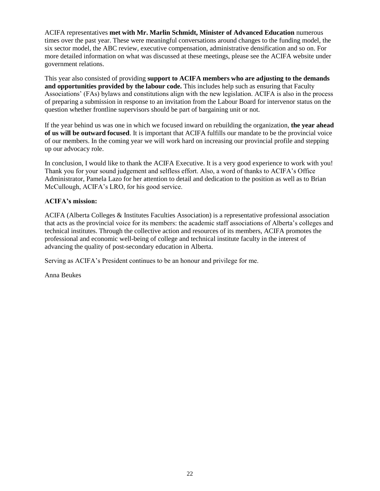ACIFA representatives **met with Mr. Marlin Schmidt, Minister of Advanced Education** numerous times over the past year. These were meaningful conversations around changes to the funding model, the six sector model, the ABC review, executive compensation, administrative densification and so on. For more detailed information on what was discussed at these meetings, please see the ACIFA website under government relations.

This year also consisted of providing **support to ACIFA members who are adjusting to the demands and opportunities provided by the labour code.** This includes help such as ensuring that Faculty Associations' (FAs) bylaws and constitutions align with the new legislation. ACIFA is also in the process of preparing a submission in response to an invitation from the Labour Board for intervenor status on the question whether frontline supervisors should be part of bargaining unit or not.

If the year behind us was one in which we focused inward on rebuilding the organization, **the year ahead of us will be outward focused**. It is important that ACIFA fulfills our mandate to be the provincial voice of our members. In the coming year we will work hard on increasing our provincial profile and stepping up our advocacy role.

In conclusion, I would like to thank the ACIFA Executive. It is a very good experience to work with you! Thank you for your sound judgement and selfless effort. Also, a word of thanks to ACIFA's Office Administrator, Pamela Lazo for her attention to detail and dedication to the position as well as to Brian McCullough, ACIFA's LRO, for his good service.

### **ACIFA's mission:**

ACIFA (Alberta Colleges & Institutes Faculties Association) is a representative professional association that acts as the provincial voice for its members: the academic staff associations of Alberta's colleges and technical institutes. Through the collective action and resources of its members, ACIFA promotes the professional and economic well-being of college and technical institute faculty in the interest of advancing the quality of post-secondary education in Alberta.

Serving as ACIFA's President continues to be an honour and privilege for me.

Anna Beukes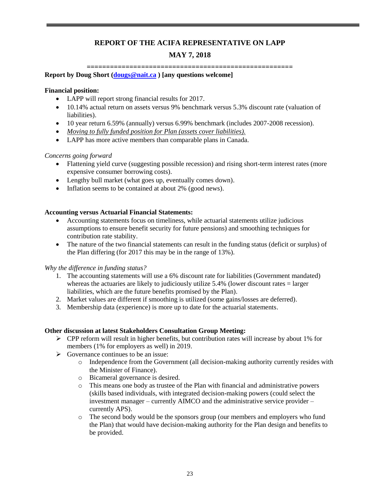## **REPORT OF THE ACIFA REPRESENTATIVE ON LAPP**

# **MAY 7, 2018**

**=====================================================**

### **Report by Doug Short [\(dougs@nait.ca](mailto:dougs@nait.ca) ) [any questions welcome]**

### **Financial position:**

- LAPP will report strong financial results for 2017.
- 10.14% actual return on assets versus 9% benchmark versus 5.3% discount rate (valuation of liabilities).
- 10 year return 6.59% (annually) versus 6.99% benchmark (includes 2007-2008 recession).
- *Moving to fully funded position for Plan (assets cover liabilities).*
- LAPP has more active members than comparable plans in Canada.

### *Concerns going forward*

- Flattening yield curve (suggesting possible recession) and rising short-term interest rates (more expensive consumer borrowing costs).
- Lengthy bull market (what goes up, eventually comes down).
- Inflation seems to be contained at about 2% (good news).

### **Accounting versus Actuarial Financial Statements:**

- Accounting statements focus on timeliness, while actuarial statements utilize judicious assumptions to ensure benefit security for future pensions) and smoothing techniques for contribution rate stability.
- The nature of the two financial statements can result in the funding status (deficit or surplus) of the Plan differing (for 2017 this may be in the range of 13%).

### *Why the difference in funding status?*

- 1. The accounting statements will use a 6% discount rate for liabilities (Government mandated) whereas the actuaries are likely to judiciously utilize 5.4% (lower discount rates = larger liabilities, which are the future benefits promised by the Plan).
- 2. Market values are different if smoothing is utilized (some gains/losses are deferred).
- 3. Membership data (experience) is more up to date for the actuarial statements.

### **Other discussion at latest Stakeholders Consultation Group Meeting:**

- $\triangleright$  CPP reform will result in higher benefits, but contribution rates will increase by about 1% for members (1% for employers as well) in 2019.
- $\triangleright$  Governance continues to be an issue:
	- o Independence from the Government (all decision-making authority currently resides with the Minister of Finance).
	- o Bicameral governance is desired.
	- o This means one body as trustee of the Plan with financial and administrative powers (skills based individuals, with integrated decision-making powers (could select the investment manager – currently AIMCO and the administrative service provider – currently APS).
	- o The second body would be the sponsors group (our members and employers who fund the Plan) that would have decision-making authority for the Plan design and benefits to be provided.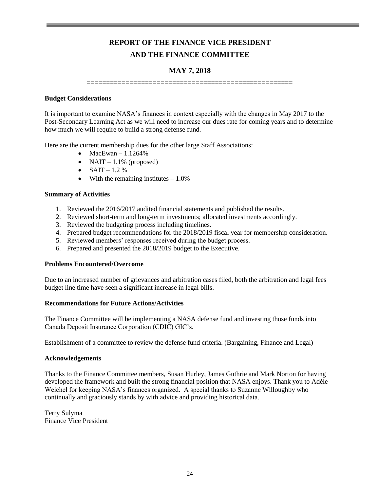# **REPORT OF THE FINANCE VICE PRESIDENT AND THE FINANCE COMMITTEE**

### **MAY 7, 2018**

**=====================================================**

### **Budget Considerations**

It is important to examine NASA's finances in context especially with the changes in May 2017 to the Post-Secondary Learning Act as we will need to increase our dues rate for coming years and to determine how much we will require to build a strong defense fund.

Here are the current membership dues for the other large Staff Associations:

- $\bullet$  MacEwan 1.1264%
- NAIT  $1.1\%$  (proposed)
- $SAIT 1.2 \%$
- With the remaining institutes  $-1.0\%$

### **Summary of Activities**

- 1. Reviewed the 2016/2017 audited financial statements and published the results.
- 2. Reviewed short-term and long-term investments; allocated investments accordingly.
- 3. Reviewed the budgeting process including timelines.
- 4. Prepared budget recommendations for the 2018/2019 fiscal year for membership consideration.
- 5. Reviewed members' responses received during the budget process.
- 6. Prepared and presented the 2018/2019 budget to the Executive.

### **Problems Encountered/Overcome**

Due to an increased number of grievances and arbitration cases filed, both the arbitration and legal fees budget line time have seen a significant increase in legal bills.

### **Recommendations for Future Actions/Activities**

The Finance Committee will be implementing a NASA defense fund and investing those funds into Canada Deposit Insurance Corporation (CDIC) GIC's.

Establishment of a committee to review the defense fund criteria. (Bargaining, Finance and Legal)

### **Acknowledgements**

Thanks to the Finance Committee members, Susan Hurley, James Guthrie and Mark Norton for having developed the framework and built the strong financial position that NASA enjoys. Thank you to Adèle Weichel for keeping NASA's finances organized. A special thanks to Suzanne Willoughby who continually and graciously stands by with advice and providing historical data.

Terry Sulyma Finance Vice President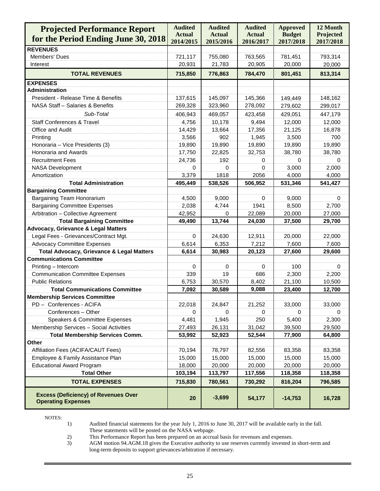| <b>Projected Performance Report</b>                                      | <b>Audited</b><br><b>Actual</b> | <b>Audited</b><br><b>Actual</b> | <b>Audited</b><br><b>Actual</b> | <b>Approved</b><br><b>Budget</b> | 12 Month<br>Projected |
|--------------------------------------------------------------------------|---------------------------------|---------------------------------|---------------------------------|----------------------------------|-----------------------|
| for the Period Ending June 30, 2018                                      | 2014/2015                       | 2015/2016                       | 2016/2017                       | 2017/2018                        | 2017/2018             |
| <b>REVENUES</b>                                                          |                                 |                                 |                                 |                                  |                       |
| Members' Dues                                                            | 721,117                         | 755,080                         | 763,565                         | 781,451                          | 793,314               |
| Interest                                                                 | 20,931                          | 21,783                          | 20,905                          | 20,000                           | 20,000                |
| <b>TOTAL REVENUES</b>                                                    | 715,850                         | 776,863                         | 784,470                         | 801,451                          | 813,314               |
| <b>EXPENSES</b>                                                          |                                 |                                 |                                 |                                  |                       |
| <b>Administration</b>                                                    |                                 |                                 |                                 |                                  |                       |
| President - Release Time & Benefits                                      | 137,615                         | 145,097                         | 145,366                         | 149,449                          | 148,162               |
| NASA Staff - Salaries & Benefits                                         | 269,328                         | 323,960                         | 278,092                         | 279,602                          | 299,017               |
| Sub-Total                                                                | 406,943                         | 469,057                         | 423,458                         | 429,051                          | 447,179               |
| <b>Staff Conferences &amp; Travel</b>                                    | 4,756                           | 10,178                          | 9,494                           | 12,000                           | 12,000                |
| Office and Audit                                                         | 14,429                          | 13,664                          | 17,356                          | 21,125                           | 16,878                |
| Printing                                                                 | 3,566                           | 902                             | 1,945                           | 3,500                            | 700                   |
| Honoraria - Vice Presidents (3)                                          | 19,890                          | 19,890                          | 19,890                          | 19,890                           | 19,890                |
| Honoraria and Awards                                                     | 17,750                          | 22,825                          | 32,753                          | 38,780                           | 38,780                |
| <b>Recruitment Fees</b>                                                  | 24,736                          | 192                             | 0                               | 0                                | 0                     |
| <b>NASA Development</b>                                                  | 0                               | 0                               | 0                               | 3,000                            | 2,000                 |
| Amortization                                                             | 3,379                           | 1818                            | 2056                            | 4,000                            | 4,000                 |
| <b>Total Administration</b>                                              | 495,449                         | 538,526                         | 506,952                         | 531,346                          | 541,427               |
| <b>Bargaining Committee</b>                                              |                                 |                                 |                                 |                                  |                       |
| Bargaining Team Honorarium                                               | 4,500                           | 9,000                           | 0                               | 9,000                            | 0                     |
| <b>Bargaining Committee Expenses</b>                                     | 2,038                           | 4,744                           | 1941                            | 8,500                            | 2,700                 |
| Arbitration - Collective Agreement                                       | 42,952                          | $\Omega$                        | 22,089                          | 20,000                           | 27,000                |
| <b>Total Bargaining Committee</b>                                        | 49,490                          | 13,744                          | 24,030                          | 37,500                           | 29,700                |
| <b>Advocacy, Grievance &amp; Legal Matters</b>                           |                                 |                                 |                                 |                                  |                       |
| Legal Fees - Grievances/Contract Mgt.                                    | 0                               | 24,630                          | 12,911                          | 20,000                           | 22,000                |
| <b>Advocacy Committee Expenses</b>                                       | 6,614                           | 6,353                           | 7,212                           | 7,600                            | 7,600                 |
| <b>Total Advocacy, Grievance &amp; Legal Matters</b>                     | 6,614                           | 30,983                          | 20,123                          | 27,600                           | 29,600                |
| <b>Communications Committee</b>                                          |                                 |                                 |                                 |                                  |                       |
| Printing - Intercom                                                      | 0                               | 0                               | 0                               | 100                              | 0                     |
| <b>Communication Committee Expenses</b>                                  | 339                             | 19                              | 686                             | 2,300                            | 2,200                 |
| <b>Public Relations</b>                                                  | 6,753                           | 30,570                          | 8,402                           | 21,100                           | 10,500                |
| <b>Total Communications Committee</b>                                    | 7,092                           | 30,589                          | 9,088                           | 23,400                           | 12,700                |
| <b>Membership Services Committee</b>                                     |                                 |                                 |                                 |                                  |                       |
| PD - Conferences - ACIFA                                                 | 22,018                          | 24,847                          | 21,252                          | 33,000                           | 33,000                |
| Conferences - Other                                                      | 0                               | 0                               | 0                               | 0                                | 0                     |
| Speakers & Committee Expenses                                            | 4,481                           | 1,945                           | 250                             | 5,400                            | 2,300                 |
| Membership Services - Social Activities                                  | 27,493                          | 26,131                          | 31,042                          | 39,500                           | 29,500                |
| <b>Total Membership Services Comm.</b>                                   | 53,992                          | 52,923                          | 52,544                          | 77,900                           | 64,800                |
| Other                                                                    |                                 |                                 |                                 |                                  |                       |
| Affiliation Fees (ACIFA/CAUT Fees)                                       | 70,194                          | 78,797                          | 82,556                          | 83,358                           | 83,358                |
| Employee & Family Assistance Plan                                        | 15,000                          | 15,000                          | 15,000                          | 15,000                           | 15,000                |
| <b>Educational Award Program</b>                                         | 18,000                          | 20,000                          | 20,000                          | 20,000                           | 20,000                |
| <b>Total Other</b>                                                       | 103,194                         | 113,797                         | 117,556                         | 118,358                          | 118,358               |
| <b>TOTAL EXPENSES</b>                                                    | 715,830                         | 780,561                         | 730,292                         | 816,204                          | 796,585               |
| <b>Excess (Deficiency) of Revenues Over</b><br><b>Operating Expenses</b> | 20                              | $-3,699$                        | 54,177                          | $-14,753$                        | 16,728                |

NOTES:

1) Audited financial statements for the year July 1, 2016 to June 30, 2017 will be available early in the fall. These statements will be posted on the NASA webpage.

2) This Performance Report has been prepared on an accrual basis for revenues and expenses.

3) AGM motion 94.AGM.18 gives the Executive authority to use reserves currently invested in short-term and long-term deposits to support grievances/arbitration if necessary.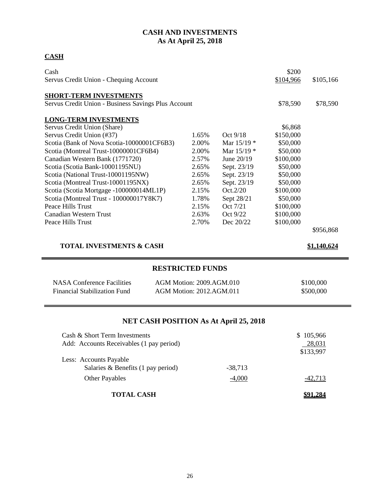# **CASH AND INVESTMENTS As At April 25, 2018**

# **CASH**

| Cash                                                                 |                         |               | \$200     |             |
|----------------------------------------------------------------------|-------------------------|---------------|-----------|-------------|
| Servus Credit Union - Chequing Account                               |                         |               | \$104,966 | \$105,166   |
| <b>SHORT-TERM INVESTMENTS</b>                                        |                         |               |           |             |
| Servus Credit Union - Business Savings Plus Account                  |                         |               | \$78,590  | \$78,590    |
| <b>LONG-TERM INVESTMENTS</b>                                         |                         |               |           |             |
| Servus Credit Union (Share)                                          |                         |               | \$6,868   |             |
| Servus Credit Union (#37)                                            | 1.65%                   | Oct 9/18      | \$150,000 |             |
| Scotia (Bank of Nova Scotia-10000001CF6B3)                           | 2.00%                   | Mar 15/19 *   | \$50,000  |             |
| Scotia (Montreal Trust-10000001CF6B4)                                | 2.00%                   | Mar $15/19$ * | \$50,000  |             |
| Canadian Western Bank (1771720)                                      | 2.57%                   | June 20/19    | \$100,000 |             |
| Scotia (Scotia Bank-10001195NU)                                      | 2.65%                   | Sept. 23/19   | \$50,000  |             |
| Scotia (National Trust-10001195NW)                                   | 2.65%                   | Sept. 23/19   | \$50,000  |             |
| Scotia (Montreal Trust-10001195NX)                                   | 2.65%                   | Sept. 23/19   | \$50,000  |             |
| Scotia (Scotia Mortgage -100000014ML1P)                              | 2.15%                   | Oct.2/20      | \$100,000 |             |
| Scotia (Montreal Trust - 100000017Y8K7)                              | 1.78%                   | Sept 28/21    | \$50,000  |             |
| Peace Hills Trust                                                    | 2.15%                   | Oct 7/21      | \$100,000 |             |
| <b>Canadian Western Trust</b>                                        | 2.63%                   | Oct 9/22      | \$100,000 |             |
| Peace Hills Trust                                                    | 2.70%                   | Dec 20/22     | \$100,000 |             |
|                                                                      |                         |               |           | \$956,868   |
| <b>TOTAL INVESTMENTS &amp; CASH</b>                                  |                         |               |           | \$1,140,624 |
|                                                                      | <b>RESTRICTED FUNDS</b> |               |           |             |
| <b>NASA Conference Facilities</b><br><b>AGM Motion: 2009.AGM.010</b> |                         |               |           | \$100,000   |
| <b>Financial Stabilization Fund</b><br>AGM Motion: 2012.AGM.011      |                         |               |           | \$500,000   |
|                                                                      |                         |               |           |             |

# **NET CASH POSITION As At April 25, 2018**

| Cash & Short Term Investments<br>Add: Accounts Receivables (1 pay period) |           | \$105,966<br>28,031<br>\$133,997 |
|---------------------------------------------------------------------------|-----------|----------------------------------|
| Less: Accounts Payable<br>Salaries & Benefits $(1$ pay period)            | $-38,713$ |                                  |
| <b>Other Payables</b>                                                     | $-4,000$  | $-42.713$                        |
| <b>TOTAL CASH</b>                                                         |           |                                  |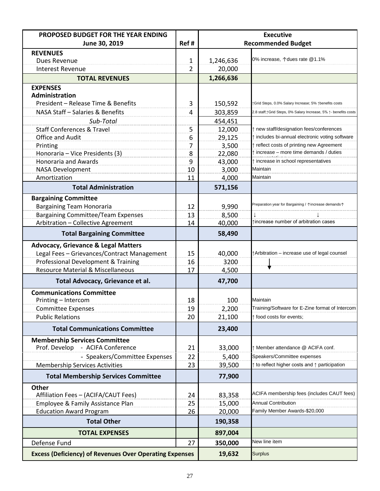| PROPOSED BUDGET FOR THE YEAR ENDING                            |                | <b>Executive</b>          |                                                                 |  |
|----------------------------------------------------------------|----------------|---------------------------|-----------------------------------------------------------------|--|
| June 30, 2019                                                  | Ref#           | <b>Recommended Budget</b> |                                                                 |  |
| <b>REVENUES</b>                                                |                |                           |                                                                 |  |
| Dues Revenue                                                   | $\mathbf{1}$   | 1,246,636                 | 0% increase, $\uparrow$ dues rate @1.1%                         |  |
| <b>Interest Revenue</b>                                        | $\overline{2}$ | 20,000                    |                                                                 |  |
| <b>TOTAL REVENUES</b>                                          |                | 1,266,636                 |                                                                 |  |
| <b>EXPENSES</b>                                                |                |                           |                                                                 |  |
| Administration<br>President - Release Time & Benefits          |                |                           |                                                                 |  |
| NASA Staff - Salaries & Benefits                               | 3<br>4         | 150,592                   | ↑Grid Steps, 0.0% Salary Increase; 5% ↑benefits costs           |  |
|                                                                |                | 303,859                   | 2.8 staff; ¡Grid Steps, 0% Salary Increase, 5% ↑ benefits costs |  |
| Sub-Total<br><b>Staff Conferences &amp; Travel</b>             |                | 454,451<br>12,000         | ↑ new staff/designation fees/conferences                        |  |
| <b>Office and Audit</b>                                        | 5<br>6         | 29,125                    | ↑ includes bi-annual electronic voting software                 |  |
| Printing                                                       | 7              | 3,500                     | ↑ reflect costs of printing new Agreement                       |  |
| Honoraria - Vice Presidents (3)                                | 8              | 22,080                    | $\uparrow$ increase – more time demands / duties                |  |
| <b>Honoraria and Awards</b>                                    | 9              | 43,000                    | $\uparrow$ increase in school representatives                   |  |
| <b>NASA Development</b>                                        | 10             | 3,000                     | Maintain                                                        |  |
| Amortization                                                   | 11             | 4,000                     | Maintain                                                        |  |
| <b>Total Administration</b>                                    |                | 571,156                   |                                                                 |  |
| <b>Bargaining Committee</b>                                    |                |                           |                                                                 |  |
| <b>Bargaining Team Honoraria</b>                               | 12             | 9,990                     | Preparation year for Bargaining / 个increase demands个            |  |
| <b>Bargaining Committee/Team Expenses</b>                      | 13             | 8,500                     |                                                                 |  |
| Arbitration - Collective Agreement                             | 14             | 40,000                    | ↑increase number of arbitration cases                           |  |
| <b>Total Bargaining Committee</b>                              |                | 58,490                    |                                                                 |  |
| <b>Advocacy, Grievance &amp; Legal Matters</b>                 |                |                           |                                                                 |  |
| Legal Fees - Grievances/Contract Management                    | 15             | 40,000                    | ↑ Arbitration – increase use of legal counsel                   |  |
| Professional Development & Training                            | 16             | 3200                      |                                                                 |  |
| <b>Resource Material &amp; Miscellaneous</b>                   | 17             | 4,500                     |                                                                 |  |
| Total Advocacy, Grievance et al.                               |                | 47,700                    |                                                                 |  |
| <b>Communications Committee</b>                                |                |                           |                                                                 |  |
| Printing - Intercom                                            | 18             | 100                       | Maintain                                                        |  |
| <b>Committee Expenses</b>                                      | 19             | 2,200                     | Training/Software for E-Zine format of Intercom                 |  |
| <b>Public Relations</b>                                        | 20             | 21,100                    | ↑ food costs for events;                                        |  |
| <b>Total Communications Committee</b>                          |                | 23,400                    |                                                                 |  |
| <b>Membership Services Committee</b>                           |                |                           |                                                                 |  |
| Prof. Develop<br>- ACIFA Conference                            | 21             | 33,000                    | Member attendance @ ACIFA conf.                                 |  |
| - Speakers/Committee Expenses                                  | 22             | 5,400                     | Speakers/Committee expenses                                     |  |
| <b>Membership Services Activities</b>                          | 23             | 39,500                    | $\uparrow$ to reflect higher costs and $\uparrow$ participation |  |
| <b>Total Membership Services Committee</b>                     |                | 77,900                    |                                                                 |  |
| <b>Other</b><br>Affiliation Fees - (ACIFA/CAUT Fees)           | 24             | 83,358                    | ACIFA membership fees (includes CAUT fees)                      |  |
| Employee & Family Assistance Plan                              | 25             | 15,000                    | <b>Annual Contribution</b>                                      |  |
| <b>Education Award Program</b>                                 | 26             | 20,000                    | Family Member Awards-\$20,000                                   |  |
| <b>Total Other</b>                                             |                | 190,358                   |                                                                 |  |
| <b>TOTAL EXPENSES</b>                                          |                | 897,004                   |                                                                 |  |
| Defense Fund                                                   | 27             | 350,000                   | New line item                                                   |  |
| <b>Excess (Deficiency) of Revenues Over Operating Expenses</b> |                | 19,632                    | <b>Surplus</b>                                                  |  |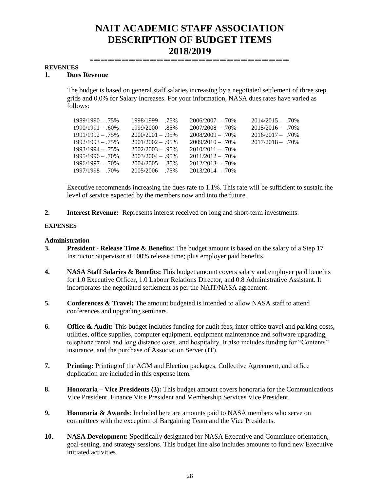=========================================================

#### **REVENUES**

### **1. Dues Revenue**

The budget is based on general staff salaries increasing by a negotiated settlement of three step grids and 0.0% for Salary Increases. For your information, NASA dues rates have varied as follows:

| $1989/1990 - 0.75\%$ | $1998/1999 - 0.75\%$ | $2006/2007 - 0.70\%$ | $2014/2015 - 0.70\%$ |
|----------------------|----------------------|----------------------|----------------------|
|                      |                      |                      |                      |
| $1990/1991 - .60\%$  | $1999/2000 - .85%$   | $2007/2008 - 0.70\%$ | $2015/2016 - .70\%$  |
| $1991/1992 - 0.75\%$ | $2000/2001 - .95\%$  | $2008/2009 - 0.70\%$ | $2016/2017 - 70\%$   |
| $1992/1993 - 75%$    | $2001/2002 - 0.95\%$ | $2009/2010 - 70\%$   | $2017/2018 - 0.70\%$ |
| $1993/1994 - 0.75\%$ | $2002/2003 - 0.95\%$ | $2010/2011 - .70\%$  |                      |
| $1995/1996 - 0.70\%$ | $2003/2004 - 0.95\%$ | $2011/2012 - 0.70\%$ |                      |
| $1996/1997 - 0.70\%$ | $2004/2005 - .85\%$  | $2012/2013 - 0.70\%$ |                      |
| $1997/1998 - 0.70\%$ | $2005/2006 - 0.75\%$ | $2013/2014 - 0.70\%$ |                      |

Executive recommends increasing the dues rate to 1.1%. This rate will be sufficient to sustain the level of service expected by the members now and into the future.

**2. Interest Revenue:** Represents interest received on long and short-term investments.

### **EXPENSES**

### **Administration**

- **3. President - Release Time & Benefits:** The budget amount is based on the salary of a Step 17 Instructor Supervisor at 100% release time; plus employer paid benefits.
- **4. NASA Staff Salaries & Benefits:** This budget amount covers salary and employer paid benefits for 1.0 Executive Officer, 1.0 Labour Relations Director, and 0.8 Administrative Assistant. It incorporates the negotiated settlement as per the NAIT/NASA agreement.
- **5. Conferences & Travel:** The amount budgeted is intended to allow NASA staff to attend conferences and upgrading seminars.
- **6. Office & Audit:** This budget includes funding for audit fees, inter-office travel and parking costs, utilities, office supplies, computer equipment, equipment maintenance and software upgrading, telephone rental and long distance costs, and hospitality. It also includes funding for "Contents" insurance, and the purchase of Association Server (IT).
- **7. Printing:** Printing of the AGM and Election packages, Collective Agreement, and office duplication are included in this expense item.
- **8. Honoraria – Vice Presidents (3):** This budget amount covers honoraria for the Communications Vice President, Finance Vice President and Membership Services Vice President.
- **9. Honoraria & Awards**: Included here are amounts paid to NASA members who serve on committees with the exception of Bargaining Team and the Vice Presidents.
- **10. NASA Development:** Specifically designated for NASA Executive and Committee orientation, goal-setting, and strategy sessions. This budget line also includes amounts to fund new Executive initiated activities.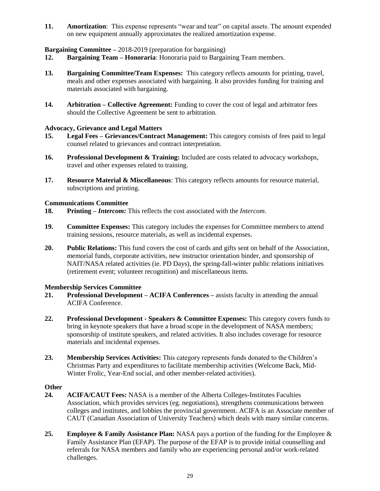**11. Amortization**: This expense represents "wear and tear" on capital assets. The amount expended on new equipment annually approximates the realized amortization expense.

### **Bargaining Committee –** 2018-2019 (preparation for bargaining)

- **12. Bargaining Team – Honoraria**: Honoraria paid to Bargaining Team members.
- **13. Bargaining Committee/Team Expenses:** This category reflects amounts for printing, travel, meals and other expenses associated with bargaining. It also provides funding for training and materials associated with bargaining.
- **14. Arbitration – Collective Agreement:** Funding to cover the cost of legal and arbitrator fees should the Collective Agreement be sent to arbitration.

### **Advocacy, Grievance and Legal Matters**

- **15. Legal Fees – Grievances/Contract Management:** This category consists of fees paid to legal counsel related to grievances and contract interpretation.
- **16. Professional Development & Training:** Included are costs related to advocacy workshops, travel and other expenses related to training.
- **17. Resource Material & Miscellaneous**: This category reflects amounts for resource material, subscriptions and printing.

### **Communications Committee**

- **18. Printing –** *Intercom:* This reflects the cost associated with the *Intercom*.
- **19. Committee Expenses:** This category includes the expenses for Committee members to attend training sessions, resource materials, as well as incidental expenses.
- **20. Public Relations:** This fund covers the cost of cards and gifts sent on behalf of the Association, memorial funds, corporate activities, new instructor orientation binder, and sponsorship of NAIT/NASA related activities (ie. PD Days), the spring-fall-winter public relations initiatives (retirement event; volunteer recognition) and miscellaneous items.

### **Membership Services Committee**

- **21. Professional Development – ACIFA Conferences –** assists faculty in attending the annual ACIFA Conference.
- **22. Professional Development - Speakers & Committee Expenses:** This category covers funds to bring in keynote speakers that have a broad scope in the development of NASA members; sponsorship of institute speakers, and related activities. It also includes coverage for resource materials and incidental expenses.
- **23. Membership Services Activities:** This category represents funds donated to the Children's Christmas Party and expenditures to facilitate membership activities (Welcome Back, Mid-Winter Frolic, Year-End social, and other member-related activities).

### **Other**

- **24. ACIFA/CAUT Fees:** NASA is a member of the Alberta Colleges-Institutes Faculties Association, which provides services (eg. negotiations), strengthens communications between colleges and institutes, and lobbies the provincial government. ACIFA is an Associate member of CAUT (Canadian Association of University Teachers) which deals with many similar concerns.
- **25. Employee & Family Assistance Plan:** NASA pays a portion of the funding for the Employee & Family Assistance Plan (EFAP). The purpose of the EFAP is to provide initial counselling and referrals for NASA members and family who are experiencing personal and/or work-related challenges.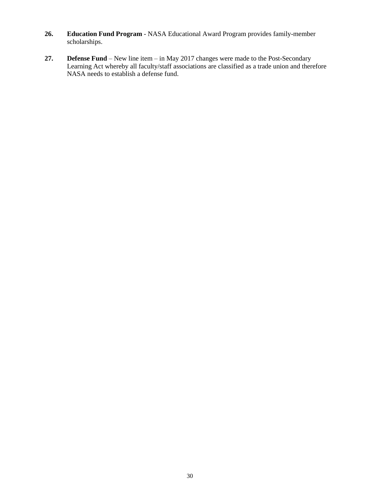- **26. Education Fund Program** NASA Educational Award Program provides family-member scholarships.
- **27. Defense Fund**  New line item in May 2017 changes were made to the Post-Secondary Learning Act whereby all faculty/staff associations are classified as a trade union and therefore NASA needs to establish a defense fund.